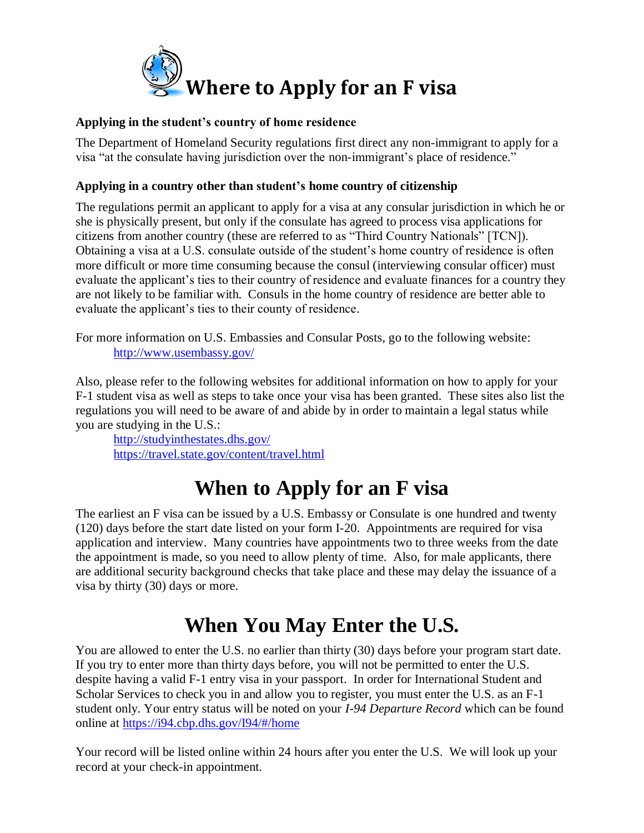

### **Applying in the student's country of home residence**

The Department of Homeland Security regulations first direct any non-immigrant to apply for a visa "at the consulate having jurisdiction over the non-immigrant's place of residence."

### **Applying in a country other than student's home country of citizenship**

The regulations permit an applicant to apply for a visa at any consular jurisdiction in which he or she is physically present, but only if the consulate has agreed to process visa applications for citizens from another country (these are referred to as "Third Country Nationals" [TCN]). Obtaining a visa at a U.S. consulate outside of the student's home country of residence is often more difficult or more time consuming because the consul (interviewing consular officer) must evaluate the applicant's ties to their country of residence and evaluate finances for a country they are not likely to be familiar with. Consuls in the home country of residence are better able to evaluate the applicant's ties to their county of residence.

For more information on U.S. Embassies and Consular Posts, go to the following website: http://www.usembassy.gov/

Also, please refer to the following websites for additional information on how to apply for your F-1 student visa as well as steps to take once your visa has been granted. These sites also list the regulations you will need to be aware of and abide by in order to maintain a legal status while you are studying in the U.S.:

<http://studyinthestates.dhs.gov/> <https://travel.state.gov/content/travel.html>

# **When to Apply for an F visa**

The earliest an F visa can be issued by a U.S. Embassy or Consulate is one hundred and twenty (120) days before the start date listed on your form I-20. Appointments are required for visa application and interview. Many countries have appointments two to three weeks from the date the appointment is made, so you need to allow plenty of time. Also, for male applicants, there are additional security background checks that take place and these may delay the issuance of a visa by thirty (30) days or more.

# **When You May Enter the U.S.**

You are allowed to enter the U.S. no earlier than thirty (30) days before your program start date. If you try to enter more than thirty days before, you will not be permitted to enter the U.S. despite having a valid F-1 entry visa in your passport. In order for International Student and Scholar Services to check you in and allow you to register, you must enter the U.S. as an F-1 student only. Your entry status will be noted on your *I-94 Departure Record* which can be found online at<https://i94.cbp.dhs.gov/I94/#/home>

Your record will be listed online within 24 hours after you enter the U.S. We will look up your record at your check-in appointment.